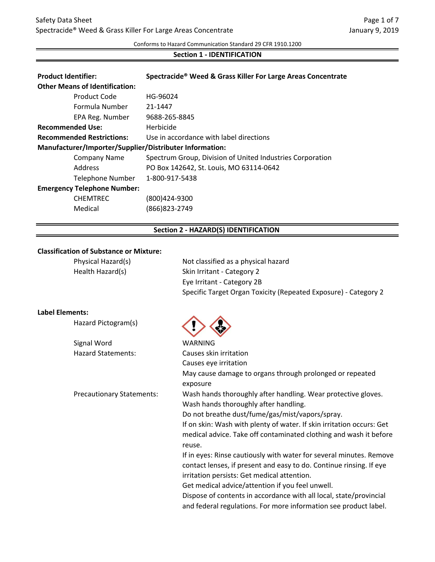Conforms to Hazard Communication Standard 29 CFR 1910.1200

# **Section 1 - IDENTIFICATION**

| <b>Product Identifier:</b>                              | Spectracide <sup>®</sup> Weed & Grass Killer For Large Areas Concentrate |  |
|---------------------------------------------------------|--------------------------------------------------------------------------|--|
| <b>Other Means of Identification:</b>                   |                                                                          |  |
| Product Code                                            | HG-96024                                                                 |  |
| Formula Number                                          | 21-1447                                                                  |  |
| EPA Reg. Number                                         | 9688-265-8845                                                            |  |
| <b>Recommended Use:</b>                                 | Herbicide                                                                |  |
| <b>Recommended Restrictions:</b>                        | Use in accordance with label directions                                  |  |
| Manufacturer/Importer/Supplier/Distributer Information: |                                                                          |  |
| <b>Company Name</b>                                     | Spectrum Group, Division of United Industries Corporation                |  |
| Address                                                 | PO Box 142642, St. Louis, MO 63114-0642                                  |  |
| Telephone Number                                        | 1-800-917-5438                                                           |  |
| <b>Emergency Telephone Number:</b>                      |                                                                          |  |
| <b>CHEMTREC</b>                                         | (800)424-9300                                                            |  |
| Medical                                                 | (866)823-2749                                                            |  |

# **Section 2 - HAZARD(S) IDENTIFICATION**

# **Classification of Substance or Mixture:**

| Physical Hazard(s) | Not classified as a physical hazard                             |
|--------------------|-----------------------------------------------------------------|
| Health Hazard(s)   | Skin Irritant - Category 2                                      |
|                    | Eye Irritant - Category 2B                                      |
|                    | Specific Target Organ Toxicity (Repeated Exposure) - Category 2 |
|                    |                                                                 |

# **Label Elements:**

| Hazard Pictogram(s)              |                                                                             |
|----------------------------------|-----------------------------------------------------------------------------|
| Signal Word                      | WARNING                                                                     |
| <b>Hazard Statements:</b>        | Causes skin irritation                                                      |
|                                  | Causes eye irritation                                                       |
|                                  | May cause damage to organs through prolonged or repeated<br>exposure        |
| <b>Precautionary Statements:</b> | Wash hands thoroughly after handling. Wear protective gloves.               |
|                                  | Wash hands thoroughly after handling.                                       |
|                                  | Do not breathe dust/fume/gas/mist/vapors/spray.                             |
|                                  | If on skin: Wash with plenty of water. If skin irritation occurs: Get       |
|                                  | medical advice. Take off contaminated clothing and wash it before<br>reuse. |
|                                  | If in eyes: Rinse cautiously with water for several minutes. Remove         |
|                                  | contact lenses, if present and easy to do. Continue rinsing. If eye         |
|                                  | irritation persists: Get medical attention.                                 |
|                                  | Get medical advice/attention if you feel unwell.                            |
|                                  | Dispose of contents in accordance with all local, state/provincial          |
|                                  | and federal regulations. For more information see product label.            |
|                                  |                                                                             |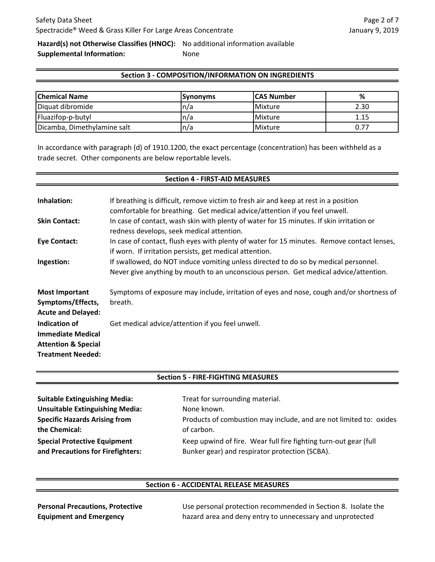**Hazard(s) not Otherwise Classifies (HNOC):** No additional information available

**Supplemental Information:** None

# **Section 3 - COMPOSITION/INFORMATION ON INGREDIENTS**

| <b>Chemical Name</b>        | <b>Synonyms</b> | <b>ICAS Number</b> | %    |
|-----------------------------|-----------------|--------------------|------|
| Diquat dibromide            | In/a            | Mixture            | 2.30 |
| Fluazifop-p-butyl           | In/a            | Mixture            |      |
| Dicamba, Dimethylamine salt | In/a            | <b>Mixture</b>     |      |

In accordance with paragraph (d) of 1910.1200, the exact percentage (concentration) has been withheld as a trade secret. Other components are below reportable levels.

#### **Section 4 - FIRST-AID MEASURES**

| Inhalation:<br><b>Skin Contact:</b>                                                                     | If breathing is difficult, remove victim to fresh air and keep at rest in a position<br>comfortable for breathing. Get medical advice/attention if you feel unwell.<br>In case of contact, wash skin with plenty of water for 15 minutes. If skin irritation or<br>redness develops, seek medical attention. |
|---------------------------------------------------------------------------------------------------------|--------------------------------------------------------------------------------------------------------------------------------------------------------------------------------------------------------------------------------------------------------------------------------------------------------------|
| Eye Contact:                                                                                            | In case of contact, flush eyes with plenty of water for 15 minutes. Remove contact lenses,<br>if worn. If irritation persists, get medical attention.                                                                                                                                                        |
| Ingestion:                                                                                              | If swallowed, do NOT induce vomiting unless directed to do so by medical personnel.<br>Never give anything by mouth to an unconscious person. Get medical advice/attention.                                                                                                                                  |
| <b>Most Important</b><br>Symptoms/Effects,<br><b>Acute and Delayed:</b>                                 | Symptoms of exposure may include, irritation of eyes and nose, cough and/or shortness of<br>breath.                                                                                                                                                                                                          |
| Indication of<br><b>Immediate Medical</b><br><b>Attention &amp; Special</b><br><b>Treatment Needed:</b> | Get medical advice/attention if you feel unwell.                                                                                                                                                                                                                                                             |

#### **Section 5 - FIRE-FIGHTING MEASURES**

| <b>Suitable Extinguishing Media:</b>   | Treat for surrounding material.                                    |
|----------------------------------------|--------------------------------------------------------------------|
| <b>Unsuitable Extinguishing Media:</b> | None known.                                                        |
| <b>Specific Hazards Arising from</b>   | Products of combustion may include, and are not limited to: oxides |
| the Chemical:                          | of carbon.                                                         |
| <b>Special Protective Equipment</b>    | Keep upwind of fire. Wear full fire fighting turn-out gear (full   |
| and Precautions for Firefighters:      | Bunker gear) and respirator protection (SCBA).                     |
|                                        |                                                                    |

#### **Section 6 - ACCIDENTAL RELEASE MEASURES**

**Personal Precautions, Protective Equipment and Emergency** 

Use personal protection recommended in Section 8. Isolate the hazard area and deny entry to unnecessary and unprotected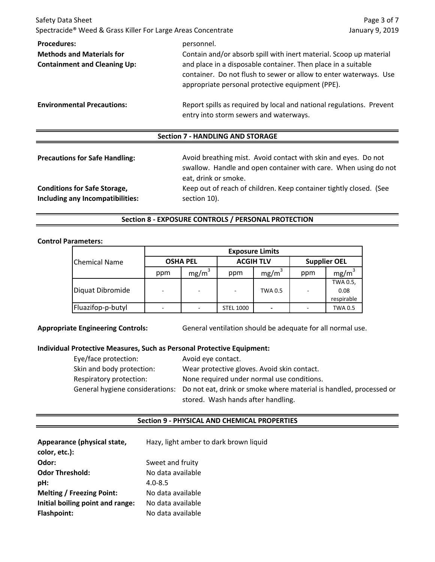| Safety Data Sheet<br>Spectracide® Weed & Grass Killer For Large Areas Concentrate             |                                                                                                                                                                                                                                                                            | Page 3 of 7<br>January 9, 2019 |  |
|-----------------------------------------------------------------------------------------------|----------------------------------------------------------------------------------------------------------------------------------------------------------------------------------------------------------------------------------------------------------------------------|--------------------------------|--|
| <b>Procedures:</b><br><b>Methods and Materials for</b><br><b>Containment and Cleaning Up:</b> | personnel.<br>Contain and/or absorb spill with inert material. Scoop up material<br>and place in a disposable container. Then place in a suitable<br>container. Do not flush to sewer or allow to enter waterways. Use<br>appropriate personal protective equipment (PPE). |                                |  |
| <b>Environmental Precautions:</b>                                                             | Report spills as required by local and national regulations. Prevent<br>entry into storm sewers and waterways.                                                                                                                                                             |                                |  |
|                                                                                               | <b>Section 7 - HANDLING AND STORAGE</b>                                                                                                                                                                                                                                    |                                |  |
| <b>Precautions for Safe Handling:</b>                                                         | Avoid breathing mist. Avoid contact with skin and eyes. Do not<br>swallow. Handle and open container with care. When using do not<br>eat, drink or smoke.                                                                                                                  |                                |  |
| <b>Conditions for Safe Storage,</b><br>Including any Incompatibilities:                       | Keep out of reach of children. Keep container tightly closed. (See<br>section 10).                                                                                                                                                                                         |                                |  |

# **Section 8 - EXPOSURE CONTROLS / PERSONAL PROTECTION**

# **Control Parameters:**

|                      | <b>Exposure Limits</b> |                          |                  |                   |                          |                   |
|----------------------|------------------------|--------------------------|------------------|-------------------|--------------------------|-------------------|
| <b>Chemical Name</b> | <b>OSHA PEL</b>        |                          | <b>ACGIH TLV</b> |                   | <b>Supplier OEL</b>      |                   |
|                      | ppm                    | mg/m <sup>3</sup>        | ppm              | mg/m <sup>3</sup> | ppm                      | mg/m <sup>3</sup> |
|                      |                        |                          |                  |                   |                          | TWA 0.5,          |
| Diquat Dibromide     | ٠                      | $\overline{\phantom{a}}$ |                  | <b>TWA 0.5</b>    | $\overline{\phantom{a}}$ | 0.08              |
|                      |                        |                          |                  |                   |                          | respirable        |
| Fluazifop-p-butyl    |                        |                          | <b>STEL 1000</b> |                   |                          | TWA 0.5           |

**Appropriate Engineering Controls:** General ventilation should be adequate for all normal use.

### **Individual Protective Measures, Such as Personal Protective Equipment:**

| Eye/face protection:      | Avoid eye contact.                                                                                 |
|---------------------------|----------------------------------------------------------------------------------------------------|
| Skin and body protection: | Wear protective gloves. Avoid skin contact.                                                        |
| Respiratory protection:   | None required under normal use conditions.                                                         |
|                           | General hygiene considerations: Do not eat, drink or smoke where material is handled, processed or |
|                           | stored. Wash hands after handling.                                                                 |

# **Section 9 - PHYSICAL AND CHEMICAL PROPERTIES**

| Appearance (physical state,      | Hazy, light amber to dark brown liquid |
|----------------------------------|----------------------------------------|
| color, etc.):                    |                                        |
| Odor:                            | Sweet and fruity                       |
| <b>Odor Threshold:</b>           | No data available                      |
| pH:                              | $4.0 - 8.5$                            |
| <b>Melting / Freezing Point:</b> | No data available                      |
| Initial boiling point and range: | No data available                      |
| <b>Flashpoint:</b>               | No data available                      |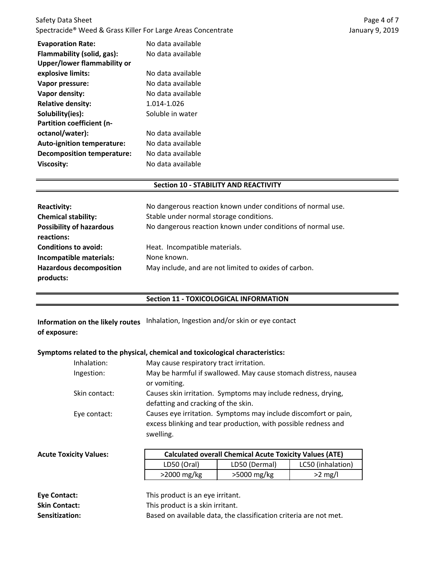| Safety Data Sheet                                                        |  |
|--------------------------------------------------------------------------|--|
| Spectracide <sup>®</sup> Weed & Grass Killer For Large Areas Concentrate |  |

| <b>Evaporation Rate:</b><br>Flammability (solid, gas):<br>Upper/lower flammability or | No data available<br>No data available |
|---------------------------------------------------------------------------------------|----------------------------------------|
| explosive limits:                                                                     | No data available                      |
| Vapor pressure:                                                                       | No data available                      |
| Vapor density:                                                                        | No data available                      |
| <b>Relative density:</b>                                                              | 1.014-1.026                            |
| Solubility(ies):                                                                      | Soluble in water                       |
| <b>Partition coefficient (n-</b>                                                      |                                        |
| octanol/water):                                                                       | No data available                      |
| <b>Auto-ignition temperature:</b>                                                     | No data available                      |
| Decomposition temperature:                                                            | No data available                      |
| Viscosity:                                                                            | No data available                      |

# **Section 10 - STABILITY AND REACTIVITY**

| <b>Reactivity:</b>              | No dangerous reaction known under conditions of normal use. |  |
|---------------------------------|-------------------------------------------------------------|--|
| <b>Chemical stability:</b>      | Stable under normal storage conditions.                     |  |
| <b>Possibility of hazardous</b> | No dangerous reaction known under conditions of normal use. |  |
| reactions:                      |                                                             |  |
| <b>Conditions to avoid:</b>     | Heat. Incompatible materials.                               |  |
| Incompatible materials:         | None known.                                                 |  |
| <b>Hazardous decomposition</b>  | May include, and are not limited to oxides of carbon.       |  |
| products:                       |                                                             |  |

# **Section 11 - TOXICOLOGICAL INFORMATION**

**Information on the likely routes** Inhalation, Ingestion and/or skin or eye contact **of exposure:**

### **Symptoms related to the physical, chemical and toxicological characteristics:**

| Inhalation:   | May cause respiratory tract irritation.                                                                                           |
|---------------|-----------------------------------------------------------------------------------------------------------------------------------|
| Ingestion:    | May be harmful if swallowed. May cause stomach distress, nausea                                                                   |
|               | or vomiting.                                                                                                                      |
| Skin contact: | Causes skin irritation. Symptoms may include redness, drying,                                                                     |
|               | defatting and cracking of the skin.                                                                                               |
| Eye contact:  | Causes eye irritation. Symptoms may include discomfort or pain,<br>excess blinking and tear production, with possible redness and |
|               | swelling.                                                                                                                         |

| <b>Acute Toxicity Values:</b> | <b>Calculated overall Chemical Acute Toxicity Values (ATE)</b> |               |                   |
|-------------------------------|----------------------------------------------------------------|---------------|-------------------|
|                               | LD50 (Oral)                                                    | LD50 (Dermal) | LC50 (inhalation) |
|                               | $>2000$ mg/kg                                                  | >5000 mg/kg   | $>2$ mg/l         |
|                               |                                                                |               |                   |
| Eye Contact:                  | This product is an eye irritant.                               |               |                   |
| <b>Skin Contact:</b>          | This product is a skin irritant.                               |               |                   |

| Sensitization: | Based on available data, the classification criteria are not met. |
|----------------|-------------------------------------------------------------------|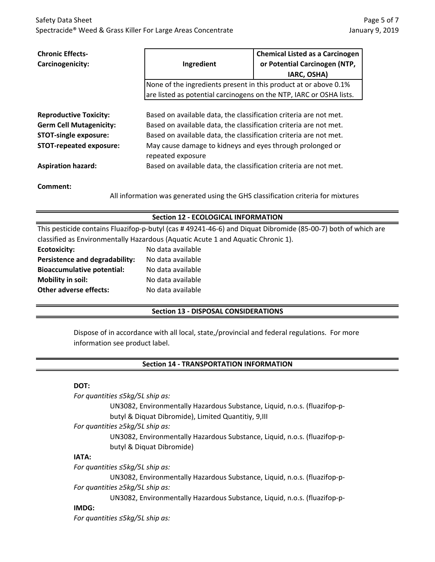| <b>Chronic Effects-</b><br>Carcinogenicity:                                                                                       | Ingredient                                                                                                                                                                                                                                                               | <b>Chemical Listed as a Carcinogen</b><br>or Potential Carcinogen (NTP,<br>IARC, OSHA) |  |  |
|-----------------------------------------------------------------------------------------------------------------------------------|--------------------------------------------------------------------------------------------------------------------------------------------------------------------------------------------------------------------------------------------------------------------------|----------------------------------------------------------------------------------------|--|--|
|                                                                                                                                   | None of the ingredients present in this product at or above 0.1%                                                                                                                                                                                                         |                                                                                        |  |  |
|                                                                                                                                   |                                                                                                                                                                                                                                                                          | are listed as potential carcinogens on the NTP, IARC or OSHA lists.                    |  |  |
| <b>Reproductive Toxicity:</b><br><b>Germ Cell Mutagenicity:</b><br><b>STOT-single exposure:</b><br><b>STOT-repeated exposure:</b> | Based on available data, the classification criteria are not met.<br>Based on available data, the classification criteria are not met.<br>Based on available data, the classification criteria are not met.<br>May cause damage to kidneys and eyes through prolonged or |                                                                                        |  |  |
| <b>Aspiration hazard:</b>                                                                                                         | repeated exposure<br>Based on available data, the classification criteria are not met.                                                                                                                                                                                   |                                                                                        |  |  |
|                                                                                                                                   |                                                                                                                                                                                                                                                                          |                                                                                        |  |  |
| Comment:<br>All information was generated using the GHS classification criteria for mixtures                                      |                                                                                                                                                                                                                                                                          |                                                                                        |  |  |

# **Section 12 - ECOLOGICAL INFORMATION**

| This pesticide contains Fluazifop-p-butyl (cas #49241-46-6) and Diquat Dibromide (85-00-7) both of which are |                   |  |  |
|--------------------------------------------------------------------------------------------------------------|-------------------|--|--|
| classified as Environmentally Hazardous (Aquatic Acute 1 and Aquatic Chronic 1).                             |                   |  |  |
| Ecotoxicity:                                                                                                 | No data available |  |  |
| Persistence and degradability:                                                                               | No data available |  |  |
| <b>Bioaccumulative potential:</b>                                                                            | No data available |  |  |
| Mobility in soil:                                                                                            | No data available |  |  |
| <b>Other adverse effects:</b>                                                                                | No data available |  |  |

# **Section 13 - DISPOSAL CONSIDERATIONS**

Dispose of in accordance with all local, state,/provincial and federal regulations. For more information see product label.

# **Section 14 - TRANSPORTATION INFORMATION**

# **DOT:**

| For quantities $\leq$ 5kg/5L ship as:                                     |
|---------------------------------------------------------------------------|
| UN3082, Environmentally Hazardous Substance, Liquid, n.o.s. (fluazifop-p- |
| butyl & Diquat Dibromide), Limited Quantitiy, 9, III                      |
| For quantities $\geq 5 \frac{kg}{5}$ ship as:                             |
| UN3082, Environmentally Hazardous Substance, Liquid, n.o.s. (fluazifop-p- |
| butyl & Diquat Dibromide)                                                 |
| <b>IATA:</b>                                                              |
| For quantities ≤5kg/5L ship as:                                           |
| UN3082, Environmentally Hazardous Substance, Liquid, n.o.s. (fluazifop-p- |
| For quantities $\geq 5 \frac{kg}{5}$ ship as:                             |
| UN3082, Environmentally Hazardous Substance, Liquid, n.o.s. (fluazifop-p- |
| $\mathbf{R}$                                                              |

#### **IMDG:**

*For quantities ≤5kg/5L ship as:*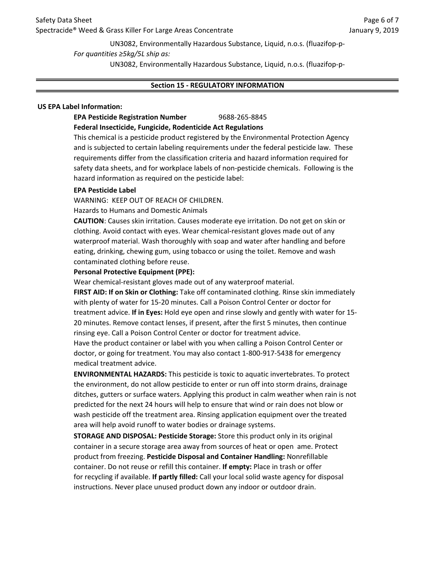UN3082, Environmentally Hazardous Substance, Liquid, n.o.s. (fluazifop-p-

*For quantities ≥5kg/5L ship as:*

UN3082, Environmentally Hazardous Substance, Liquid, n.o.s. (fluazifop-p-

# **Section 15 - REGULATORY INFORMATION**

# **US EPA Label Information:**

# **EPA Pesticide Registration Number** 9688-265-8845

**Federal Insecticide, Fungicide, Rodenticide Act Regulations**

This chemical is a pesticide product registered by the Environmental Protection Agency and is subjected to certain labeling requirements under the federal pesticide law. These requirements differ from the classification criteria and hazard information required for safety data sheets, and for workplace labels of non-pesticide chemicals. Following is the hazard information as required on the pesticide label:

# **EPA Pesticide Label**

WARNING: KEEP OUT OF REACH OF CHILDREN.

Hazards to Humans and Domestic Animals

**CAUTION**: Causes skin irritation. Causes moderate eye irritation. Do not get on skin or clothing. Avoid contact with eyes. Wear chemical-resistant gloves made out of any waterproof material. Wash thoroughly with soap and water after handling and before eating, drinking, chewing gum, using tobacco or using the toilet. Remove and wash contaminated clothing before reuse.

# **Personal Protective Equipment (PPE):**

**FIRST AID: If on Skin or Clothing:** Take off contaminated clothing. Rinse skin immediately with plenty of water for 15-20 minutes. Call a Poison Control Center or doctor for treatment advice. **If in Eyes:** Hold eye open and rinse slowly and gently with water for 15- 20 minutes. Remove contact lenses, if present, after the first 5 minutes, then continue rinsing eye. Call a Poison Control Center or doctor for treatment advice. Have the product container or label with you when calling a Poison Control Center or doctor, or going for treatment. You may also contact 1-800-917-5438 for emergency Wear chemical-resistant gloves made out of any waterproof material.

medical treatment advice.

**ENVIRONMENTAL HAZARDS:** This pesticide is toxic to aquatic invertebrates. To protect the environment, do not allow pesticide to enter or run off into storm drains, drainage ditches, gutters or surface waters. Applying this product in calm weather when rain is not predicted for the next 24 hours will help to ensure that wind or rain does not blow or wash pesticide off the treatment area. Rinsing application equipment over the treated area will help avoid runoff to water bodies or drainage systems.

**STORAGE AND DISPOSAL: Pesticide Storage:** Store this product only in its original container in a secure storage area away from sources of heat or open ame. Protect product from freezing. **Pesticide Disposal and Container Handling:** Nonrefillable container. Do not reuse or refill this container. **If empty:** Place in trash or offer for recycling if available. **If partly filled:** Call your local solid waste agency for disposal instructions. Never place unused product down any indoor or outdoor drain.